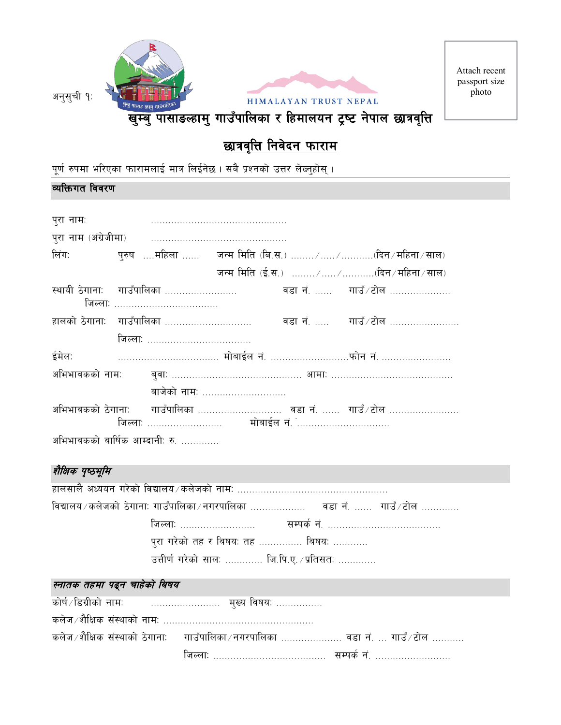

# <u>छात्रवृत्ति निवेदन फाराम</u>

पूर्ण रुपमा भरिएका फारामलाई मात्र लिईनेछ। सबै प्रश्नको उत्तर लेख्नुहोस् ।

### व्यक्तिगत विवरण

| पुरा नाम:         |                                                                              |                                                   |  |  |  |  |  |  |
|-------------------|------------------------------------------------------------------------------|---------------------------------------------------|--|--|--|--|--|--|
|                   |                                                                              |                                                   |  |  |  |  |  |  |
| लिंग: बाला के लिए | पुरुष ….महिला …… जन्म मिति (बि.स.) …… ⁄ ……. ∕ ………(दिन ⁄ महिना ⁄ साल)         |                                                   |  |  |  |  |  |  |
|                   |                                                                              | जन्म मिति (ई.स.) ……… /…… /…………(दिन ⁄ महिना ⁄ साल) |  |  |  |  |  |  |
|                   | स्थायी ठेगानाः गाउँपालिका ………………………         वडा नं. ……   गाउँ ⁄ टोल …………………  |                                                   |  |  |  |  |  |  |
|                   | हालको ठेगानाः  गाउँपालिका …………………………      वडा नं. …     गाउँ / टोल …………………   |                                                   |  |  |  |  |  |  |
|                   |                                                                              |                                                   |  |  |  |  |  |  |
|                   |                                                                              |                                                   |  |  |  |  |  |  |
|                   |                                                                              |                                                   |  |  |  |  |  |  |
|                   | बाजेको नाम:                                                                  |                                                   |  |  |  |  |  |  |
|                   | अभिभावकको ठेगानाः     गाउँपालिका ……………………….  वडा नं. ……  गाउँ ⁄ टोल …………………… |                                                   |  |  |  |  |  |  |
|                   | अभिभावकको बार्षिक आम्दानी: रु.                                               |                                                   |  |  |  |  |  |  |

# शैक्षिक पृष्ठभूमि

| विद्यालय ∕ कलेजको ठेगानाः गाउँपालिका ∕ नगरपालिका ……………… वडा नं. …… गाउँ ∕ टोल ………… |
|------------------------------------------------------------------------------------|
|                                                                                    |
| पुरा गरेको तह र बिषय: तह …………… बिषय: …………                                          |
| उत्तीर्ण गरेको सालः …………. जि.पि.ए. ∕प्रतिसतः ………….                                 |

### स्नातक तहमा पढ्न चाहेको बिषय

| कलेज /शैक्षिक संस्थाको ठेगाना:    गाउँपालिका / नगरपालिका ………………… वडा नं. … गाउँ / टोल ………. |
|--------------------------------------------------------------------------------------------|
|                                                                                            |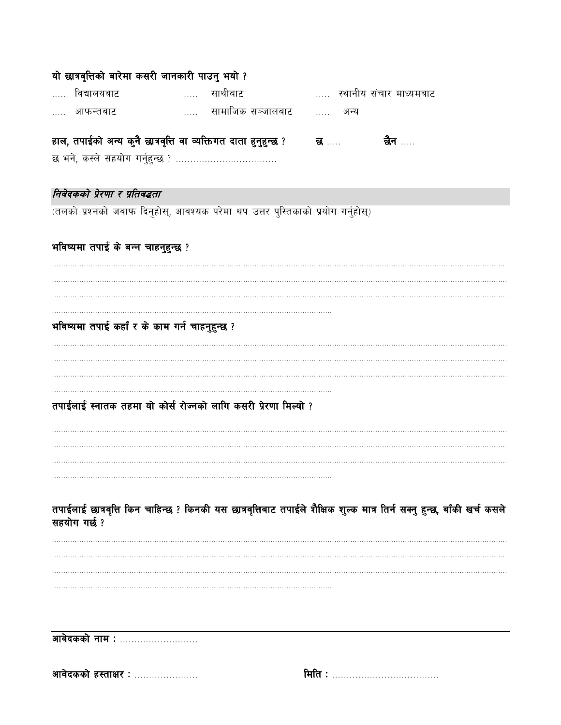| यो छात्रवृत्तिको बारेमा कसरी जानकारी पाउनु भयो ?                                 |          |                     |                                                                                                                   |                                                                                                                         |
|----------------------------------------------------------------------------------|----------|---------------------|-------------------------------------------------------------------------------------------------------------------|-------------------------------------------------------------------------------------------------------------------------|
| विद्यालयबाट<br>.                                                                 | $\cdots$ | साथीबाट             | स्थानीय संचार माध्यमबाट                                                                                           |                                                                                                                         |
| आफन्तबाट                                                                         |          | … सामाजिक सञ्जालबाट | $\frac{1}{2}$<br>अन्य                                                                                             |                                                                                                                         |
| हाल, तपाईको अन्य कुनै छात्रवृत्ति वा व्यक्तिगत दाता हुनुहुन्छ ?                  |          |                     |                                                                                                                   | छैन ……                                                                                                                  |
|                                                                                  |          |                     | ्<br>स्थित सम्पन्न संस्कृत संस्कृत संस्कृत संस्कृत संस्कृत संस्कृत संस्कृत संस्कृत संस्कृत संस्कृत संस्कृत संस्कृ |                                                                                                                         |
|                                                                                  |          |                     |                                                                                                                   |                                                                                                                         |
| निवेदकको प्रेरणा र प्रतिवद्धता                                                   |          |                     |                                                                                                                   |                                                                                                                         |
| (तलको प्रश्नको जवाफ दिनुहोस्, आवश्यक परेमा थप उत्तर पुस्तिकाको प्रयोग गर्नुहोस्) |          |                     |                                                                                                                   |                                                                                                                         |
|                                                                                  |          |                     |                                                                                                                   |                                                                                                                         |
| भविष्यमा तपाई के बन्न चाहनुहुन्छ ?                                               |          |                     |                                                                                                                   |                                                                                                                         |
|                                                                                  |          |                     |                                                                                                                   |                                                                                                                         |
|                                                                                  |          |                     |                                                                                                                   |                                                                                                                         |
|                                                                                  |          |                     |                                                                                                                   |                                                                                                                         |
| भविष्यमा तपाई कहाँ र के काम गर्न चाहनुहुन्छ ?                                    |          |                     |                                                                                                                   |                                                                                                                         |
|                                                                                  |          |                     |                                                                                                                   |                                                                                                                         |
|                                                                                  |          |                     |                                                                                                                   |                                                                                                                         |
|                                                                                  |          |                     |                                                                                                                   |                                                                                                                         |
| तपाईलाई स्नातक तहमा यो कोर्स रोज्नको लागि कसरी प्रेरणा मिल्यो ?                  |          |                     |                                                                                                                   |                                                                                                                         |
|                                                                                  |          |                     |                                                                                                                   |                                                                                                                         |
|                                                                                  |          |                     |                                                                                                                   |                                                                                                                         |
|                                                                                  |          |                     |                                                                                                                   |                                                                                                                         |
|                                                                                  |          |                     |                                                                                                                   |                                                                                                                         |
|                                                                                  |          |                     |                                                                                                                   | तपाईलाई छात्रवृत्ति किन चाहिन्छ ? किनकी यस छात्रवृत्तिबाट तपाईले शैक्षिक शुल्क मात्र तिर्न सक्नु हुन्छ, बाँकी खर्च कसले |
| सहयोग गर्छ ?                                                                     |          |                     |                                                                                                                   |                                                                                                                         |
|                                                                                  |          |                     |                                                                                                                   |                                                                                                                         |
|                                                                                  |          |                     |                                                                                                                   |                                                                                                                         |
|                                                                                  |          |                     |                                                                                                                   |                                                                                                                         |
|                                                                                  |          |                     |                                                                                                                   |                                                                                                                         |
|                                                                                  |          |                     |                                                                                                                   |                                                                                                                         |
| आवेदकको नाम :                                                                    |          |                     |                                                                                                                   |                                                                                                                         |
|                                                                                  |          |                     |                                                                                                                   |                                                                                                                         |
| आवेदकको हस्ताक्षर:                                                               |          |                     |                                                                                                                   |                                                                                                                         |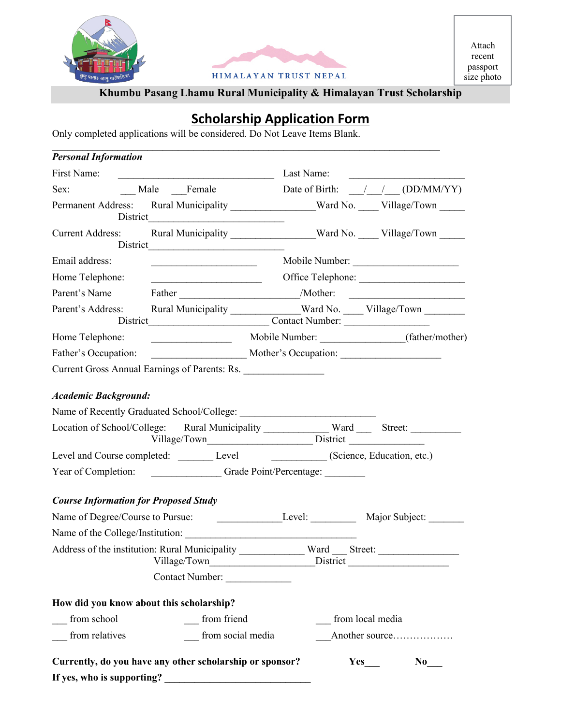



Attach recent passport size photo

# **Khumbu Pasang Lhamu Rural Municipality & Himalayan Trust Scholarship**

# **Scholarship Application Form**

Only completed applications will be considered. Do Not Leave Items Blank.

| <b>Personal Information</b>                                                      |                                                   |                                                                                                                                                                                                                                           |  |
|----------------------------------------------------------------------------------|---------------------------------------------------|-------------------------------------------------------------------------------------------------------------------------------------------------------------------------------------------------------------------------------------------|--|
| First Name:                                                                      |                                                   | Last Name:<br><u> 2008 - Andrea Andrewski, politik amerikan (</u>                                                                                                                                                                         |  |
| Sex: Male Female                                                                 |                                                   | Date of Birth: $\frac{1}{\sqrt{1-\frac{1}{2}}}$ (DD/MM/YY)                                                                                                                                                                                |  |
|                                                                                  | District President President Communications       | Permanent Address: Rural Municipality _______________Ward No. ____ Village/Town ____                                                                                                                                                      |  |
| <b>Current Address:</b>                                                          |                                                   | Rural Municipality _______________Ward No. ____Village/Town _____                                                                                                                                                                         |  |
| Email address:                                                                   |                                                   | Mobile Number:                                                                                                                                                                                                                            |  |
| Home Telephone:                                                                  | <u> 1989 - Johann Barbara, martin amerikan ba</u> |                                                                                                                                                                                                                                           |  |
| Parent's Name                                                                    |                                                   |                                                                                                                                                                                                                                           |  |
| Parent's Address:                                                                |                                                   | Rural Municipality _____________Ward No. ____ Village/Town ________                                                                                                                                                                       |  |
| Home Telephone:                                                                  |                                                   | Mobile Number: (father/mother)                                                                                                                                                                                                            |  |
| Father's Occupation:                                                             |                                                   | Mother's Occupation:                                                                                                                                                                                                                      |  |
| <b>Academic Background:</b>                                                      |                                                   | Location of School/College: Rural Municipality _____________ Ward _______ Street: ___________<br>Level and Course completed: Level Level (Science, Education, etc.)<br>Year of Completion: ______________Grade Point/Percentage: ________ |  |
| <b>Course Information for Proposed Study</b><br>Name of Degree/Course to Pursue: |                                                   | Level: Major Subject:                                                                                                                                                                                                                     |  |
|                                                                                  |                                                   |                                                                                                                                                                                                                                           |  |
|                                                                                  | Contact Number:                                   | Address of the institution: Rural Municipality ____________ Ward ____ Street: ______________________                                                                                                                                      |  |
| How did you know about this scholarship?                                         |                                                   |                                                                                                                                                                                                                                           |  |
| from school                                                                      | from friend                                       | from local media                                                                                                                                                                                                                          |  |
|                                                                                  |                                                   | Another source                                                                                                                                                                                                                            |  |
| from relatives                                                                   | from social media                                 |                                                                                                                                                                                                                                           |  |
| Currently, do you have any other scholarship or sponsor?                         |                                                   | $Yes$ <sub>___</sub><br>$\bf No$                                                                                                                                                                                                          |  |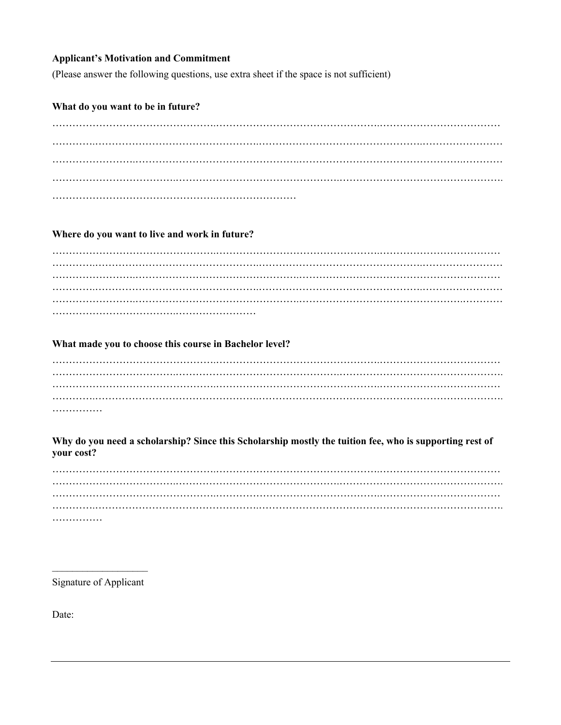#### **Applicant's Motivation and Commitment**

(Please answer the following questions, use extra sheet if the space is not sufficient)

#### What do you want to be in future?

#### Where do you want to live and work in future?

#### What made you to choose this course in Bachelor level?

| . |  |  |  |  |  |  |  |  |  |  |  |  |  |  |  |  |  |
|---|--|--|--|--|--|--|--|--|--|--|--|--|--|--|--|--|--|

#### Why do you need a scholarship? Since this Scholarship mostly the tuition fee, who is supporting rest of your cost?

. . . . . . . . . . . . . . .

Signature of Applicant

Date: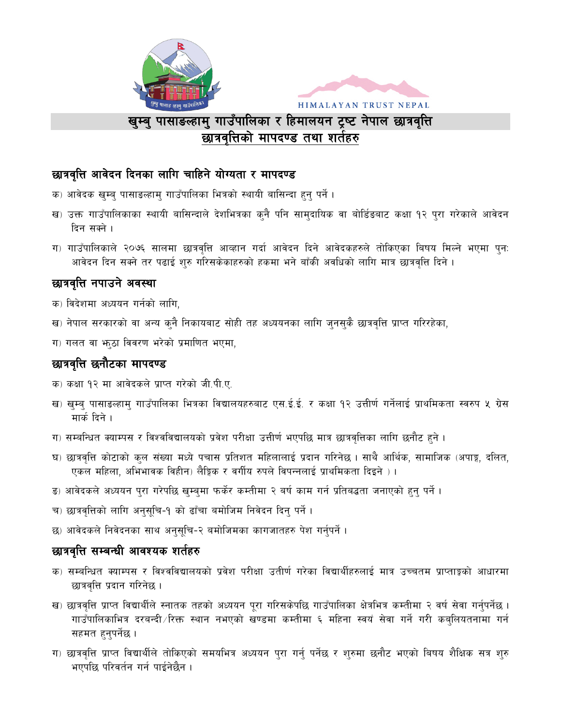



# खुम्बु पासाङल्हामु गाउँपालिका र हिमालयन ट्रष्ट नेपाल छात्रवृत्ति छात्रवत्तिको मापदण्ड तथा शर्तहरु

## छात्रवृत्ति आवेदन दिनका लागि चाहिने योग्यता र मापदण्ड

- क) आवेदक खुम्ब् पासाङल्हाम् गाउँपालिका भित्रको स्थायी बासिन्दा हुन् पर्ने ।
- ख) उक्त गाउँपालिकाका स्थायी बासिन्दाले देशभित्रका कुनै पनि सामुदायिक वा बोर्डिडबाट कक्षा १२ पुरा गरेकाले आवेदन दिन सक्ने ।
- ग) गाउँपालिकाले २०७६ सालमा छात्रवृत्ति आव्हान गर्दा आवेदन दिने आवेदकहरुले तोकिएका बिषय मिल्ने भएमा पुन: आवेदन दिन सक्ने तर पढाई शुरु गरिसकेकाहरुको हकमा भने बाँकी अवधिको लागि मात्र छात्रवृत्ति दिने ।

## छात्रवृत्ति नपाउने अवस्था

- क) विदेशमा अध्ययन गर्नको लागि,
- ख) नेपाल सरकारको वा अन्य कुनै निकायबाट सोही तह अध्ययनका लागि जुनसुकै छात्रवृत्ति प्राप्त गरिरहेका,
- ग) गलत वा भाठा विवरण भरेको प्रमाणित भएमा,

## छात्रवृत्ति छनौटका मापदण्ड

- क) कक्षा १२ मा आवेदकले प्राप्त गरेको जी.पी.ए.
- ख) खुम्बु पासाङल्हाम् गाउँपालिका भित्रका विद्यालयहरुबाट एस.ई.ई. र कक्षा १२ उत्तीर्ण गर्नेलाई प्राथमिकता स्वरुप ५ ग्रेस मार्क दिने ।
- ग) सम्बन्धित क्याम्पस र विश्वविद्यालयको प्रवेश परीक्षा उत्तीर्ण भएपछि मात्र छात्रवृत्तिका लागि छनौट हुने ।
- घ) छात्रवृत्ति कोटाको कुल संख्या मध्ये पचास प्रतिशत महिलालाई प्रदान गरिनेछ । साथै आर्थिक, सामाजिक (अपाङ्ग, दलित, एकल महिला, अभिभावक विहीन) लैङ्गिक र वर्गीय रुपले विपन्नलाई प्राथमिकता दिइने )।
- ड) आवेदकले अध्ययन पुरा गरेपछि खुम्बुमा फर्केर कम्तीमा २ बर्ष काम गर्न प्रतिबद्धता जनाएको हुनु पर्ने ।
- च) छात्रवृत्तिको लागि अनुसूचि-१ को ढाँचा बमोजिम निवेदन दिन् पर्ने ।
- छ) आवेदकले निवेदनका साथ अनुसुचि-२ बमोजिमका कागजातहरु पेश गर्नुपर्ने ।

### छात्रवृत्ति सम्बन्धी आवश्यक शर्तहरु

- क) सम्बन्धित क्याम्पस र विश्वविद्यालयको प्रवेश परीक्षा उतीर्ण गरेका विद्यार्थीहरुलाई मात्र उच्चतम प्राप्ताङ्को आधारमा छात्रवृत्ति प्रदान गरिनेछ ।
- ख) छात्रवृत्ति प्राप्त विद्यार्थीले स्नातक तहको अध्ययन पुरा गरिसकेपछि गाउँपालिका क्षेत्रभित्र कम्तीमा २ वर्ष सेवा गर्नुपर्नेछ । गाउँपालिकाभित्र दरबन्दी ∕रिक्त स्थान नभएको खण्डमा कम्तीमा ६ महिना स्वयं सेवा गर्ने गरी कबुलियतनामा गर्न सहमत हनुपर्नेछ ।
- ग) छात्रवृत्ति प्राप्त विद्यार्थीले तोकिएको समयभित्र अध्ययन पुरा गर्नु पर्नेछ र शुरुमा छनौट भएको बिषय शैक्षिक सत्र शुरु भएपछि परिवर्तन गर्न पाईनेछैन ।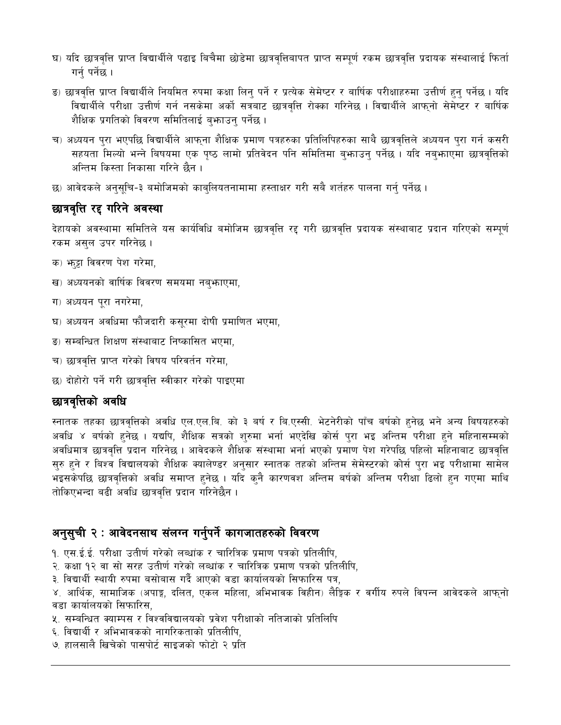- घ) यदि छात्रवृत्ति प्राप्त विद्यार्थीले पढाइ बिचैमा छोडेमा छात्रवृत्तिबापत प्राप्त सम्पूर्ण रकम छात्रवृत्ति प्रदायक संस्थालाई फिर्ता गर्न् पर्नेछ ।
- ङ) छात्रवृत्ति प्राप्त विद्यार्थीले नियमित रुपमा कक्षा लिन् पर्ने र प्रत्येक सेमेष्टर र बार्षिक परीक्षाहरुमा उत्तीर्ण हुन् पर्नेछ । यदि विद्यार्थीले परीक्षा उत्तीर्ण गर्न नसकेमा अर्को सत्रबाट छात्रवृत्ति रोक्का गरिनेछ । विद्यार्थीले आफ्**नो सेमेष्टर र बार्षि**क शैक्षिक प्रगतिको विवरण समितिलाई बुभाउनु पर्नेछ ।
- च) अध्ययन पुरा भएपछि विद्यार्थीले आफुना शैक्षिक प्रमाण पत्रहरुका प्रतिलिपिहरुका साथै छात्रवृत्तिले अध्ययन पुरा गर्न कसरी सहयता मिल्यो भन्ने बिषयमा एक पुष्ठ लामो प्रतिवेदन पनि समितिमा बुभ्राउन् पर्नेछ । यदि नबुभ्राएमा छात्रवृत्तिको अन्तिम किस्ता निकासा गरिने छैन ।
- छ) आवेदकले अनुसुचि-३ बमोजिमको काबुलियतनामामा हस्ताक्षर गरी सबै शर्तहरु पालना गर्नु पर्नेछ ।

### छात्रवृत्ति रद्द गरिने अवस्था

देहायको अवस्थामा समितिले यस कार्यविधि बमोजिम छात्रवृत्ति रद्द गरी छात्रवृत्ति प्रदायक संस्थाबाट प्रदान गरिएको सम्पुर्ण रकम असुल उपर गरिनेछ ।

- क) भाट्टा विवरण पेश गरेमा,
- ख) अध्ययनको वार्षिक विवरण समयमा नबु**फाएमा**,
- ग) अध्ययन पूरा नगरेमा,
- घ) अध्ययन अवधिमा फौजदारी कसूरमा दोषी प्रमाणित भएमा,
- ङ) सम्बन्धित शिक्षण संस्थाबाट निष्कासित भएमा,
- च) छात्रवृत्ति प्राप्त गरेको विषय परिवर्तन गरेमा,
- छ) दोहोरो पर्ने गरी छात्रवृत्ति स्वीकार गरेको पाइएमा

## छात्रवृत्तिको अवधि

रनातक तहका छात्रवृत्तिको अवधि एल.एल.बि. को ३ बर्ष र बि.एस्सी. भेटनेरीको पाँच बर्षको हुनेछ भने अन्य बिषयहरुको अवधि ४ बर्षको हुनेछ । यद्यपि, शैक्षिक सत्रको शुरुमा भर्ना भएदेखि कोर्स पुरा भइ अन्तिम परीक्षा हुने महिनासम्मको अवधिमात्र छात्रवृत्ति प्रदान गरिनेछ । आवेदकले शैक्षिक संस्थामा भर्ना भएको प्रमाण पेश गरेपछि पहिलो महिनाबाट छात्रवृत्ति सुरु हुने र बिश्व विद्यालयको शैक्षिक क्यालेण्डर अनुसार स्नातक तहको अन्तिम सेमेस्टरको कोर्स पुरा भइ परीक्षामा सामेल भइसकेपछि छात्रवृत्तिको अवधि समाप्त हुनेछ । यदि कुनै कारणवश अन्तिम बर्षको अन्तिम परीक्षा ढिलो हुन गएमा माथि तोकिएभन्दा बढी अवधि छात्रवृत्ति प्रदान गरिनेछैन ।

# अनुसुची २ : आवेदनसाथ संलग्न गर्नुपर्ने कागजातहरुको विवरण

- 9. एस.ई.ई. परीक्षा उतीर्ण गरेको लब्धांक र चारित्रिक प्रमाण पत्रको प्रतिलीपि,
- २. कक्षा १२ वा सो सरह उतीर्ण गरेको लब्धांक र चारित्रिक प्रमाण पत्रको प्रतिलीपि,
- ३. विद्यार्थी स्थायी रुपमा बसोबास गर्दै आएको वडा कार्यालयको सिफारिस पत्र,
- ४. आर्थिक, सामाजिक (अपाङ्ग, दलित, एकल महिला, अभिभावक विहीन) लैङ्गिक र वर्गीय रुपले विपन्न आवेदकले आफ्**नो** वडा कार्यालयको सिफारिस,
- ४. सम्बन्धित क्याम्पस र विश्वविद्यालयको प्रवेश परीक्षाको नतिजाको प्रतिलिपि
- ६. विद्यार्थी र अभिभावकको नागरिकताको प्रतिलीपि.
- ७. हालसालै खिचेको पासपोर्ट साइजको फोटो २ प्रति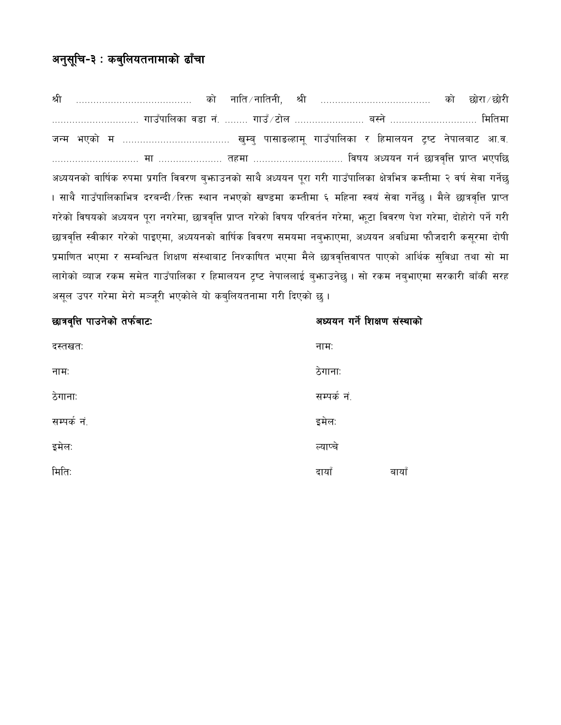# अनुसूचि-३ : कबुलियतनामाको ढाँचा

नाति ∕ नातिनी, श्री ………………………………… को छोरा ∕ छोरी श्री को को ………………………… गाउँपालिका वडा नं. …….. गाउँ ∕ टोल …………………… बस्ने ………………………… मितिमा अध्ययनको वार्षिक रुपमा प्रगति विवरण बुभ्काउनको साथै अध्ययन पुरा गरी गाउँपालिका क्षेत्रभित्र कम्तीमा २ वर्ष सेवा गर्नेछ । साथै गाउँपालिकाभित्र दरबन्दी ∕रिक्त स्थान नभएको खण्डमा कम्तीमा ६ महिना स्वयं सेवा गर्नेछ । मैले छात्रवृत्ति प्राप्त गरेको विषयको अध्ययन पुरा नगरेमा, छात्रवृत्ति प्राप्त गरेको विषय परिवर्तन गरेमा, भटा विवरण पेश गरेमा, दोहोरो पर्ने गरी छात्रवृत्ति स्वीकार गरेको पाइएमा, अध्ययनको वार्षिक विवरण समयमा नब्फाएमा, अध्ययन अवधिमा फौजदारी कसूरमा दोषी प्रमाणित भएमा र सम्बन्धित शिक्षण संस्थाबाट निश्काषित भएमा मैले छात्रवृत्तिवापत पाएको आर्थिक सुविधा तथा सो मा लागेको व्याज रकम समेत गाउँपालिका र हिमालयन ट्रष्ट नेपाललाई बुभ्राउनेछ । सो रकम नबुभाएमा सरकारी बाँकी सरह असूल उपर गरेमा मेरो मञ्जूरी भएकोले यो कब्लियतनामा गरी दिएको छ ।

| छात्रवृत्ति पाउनेको तर्फबाटः | अध्ययन गर्ने शिक्षण संस्थाको |
|------------------------------|------------------------------|
| दस्तखतः                      | नामः                         |
| नामः                         | ठेगानाः                      |
| ठेगानाः                      | सम्पर्क नं.                  |
| सम्पर्क नं.                  | इमेल:                        |
| इमेल:                        | त्याप्चे                     |
| मितिः                        | दायाँ<br>बायाँ               |